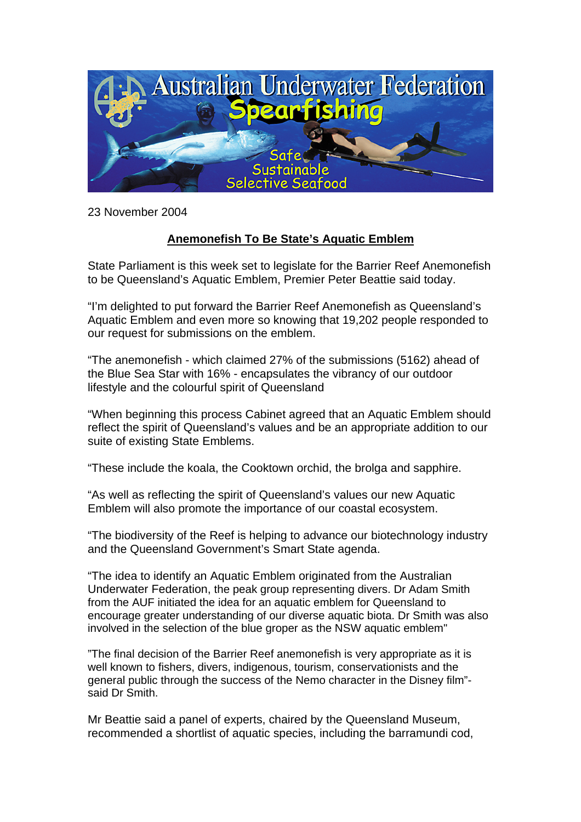

23 November 2004

## **Anemonefish To Be State's Aquatic Emblem**

State Parliament is this week set to legislate for the Barrier Reef Anemonefish to be Queensland's Aquatic Emblem, Premier Peter Beattie said today.

"I'm delighted to put forward the Barrier Reef Anemonefish as Queensland's Aquatic Emblem and even more so knowing that 19,202 people responded to our request for submissions on the emblem.

"The anemonefish - which claimed 27% of the submissions (5162) ahead of the Blue Sea Star with 16% - encapsulates the vibrancy of our outdoor lifestyle and the colourful spirit of Queensland

"When beginning this process Cabinet agreed that an Aquatic Emblem should reflect the spirit of Queensland's values and be an appropriate addition to our suite of existing State Emblems.

"These include the koala, the Cooktown orchid, the brolga and sapphire.

"As well as reflecting the spirit of Queensland's values our new Aquatic Emblem will also promote the importance of our coastal ecosystem.

"The biodiversity of the Reef is helping to advance our biotechnology industry and the Queensland Government's Smart State agenda.

"The idea to identify an Aquatic Emblem originated from the Australian Underwater Federation, the peak group representing divers. Dr Adam Smith from the AUF initiated the idea for an aquatic emblem for Queensland to encourage greater understanding of our diverse aquatic biota. Dr Smith was also involved in the selection of the blue groper as the NSW aquatic emblem"

"The final decision of the Barrier Reef anemonefish is very appropriate as it is well known to fishers, divers, indigenous, tourism, conservationists and the general public through the success of the Nemo character in the Disney film" said Dr Smith.

Mr Beattie said a panel of experts, chaired by the Queensland Museum, recommended a shortlist of aquatic species, including the barramundi cod,